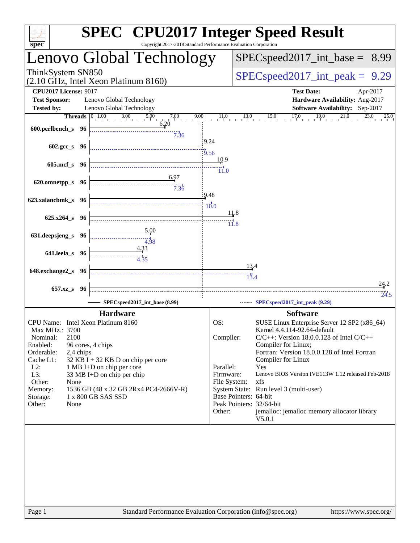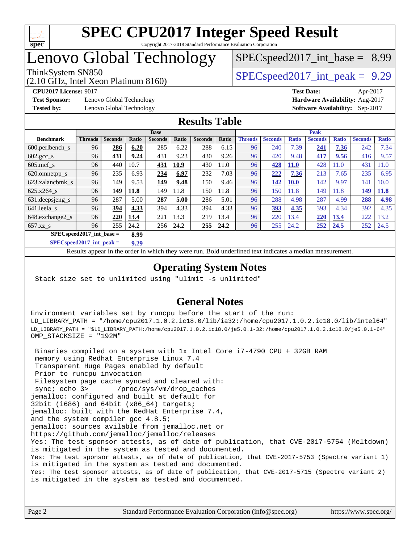

# Lenovo Global Technology

(2.10 GHz, Intel Xeon Platinum 8160)

ThinkSystem SN850<br>  $SPECspeed2017$  int\_peak = 9.29  $SPECspeed2017\_int\_base = 8.99$ 

**[Test Sponsor:](http://www.spec.org/auto/cpu2017/Docs/result-fields.html#TestSponsor)** Lenovo Global Technology **[Hardware Availability:](http://www.spec.org/auto/cpu2017/Docs/result-fields.html#HardwareAvailability)** Aug-2017 **[Tested by:](http://www.spec.org/auto/cpu2017/Docs/result-fields.html#Testedby)** Lenovo Global Technology **[Software Availability:](http://www.spec.org/auto/cpu2017/Docs/result-fields.html#SoftwareAvailability)** Sep-2017

**[CPU2017 License:](http://www.spec.org/auto/cpu2017/Docs/result-fields.html#CPU2017License)** 9017 **[Test Date:](http://www.spec.org/auto/cpu2017/Docs/result-fields.html#TestDate)** Apr-2017

### **[Results Table](http://www.spec.org/auto/cpu2017/Docs/result-fields.html#ResultsTable)**

|                                      | <b>Base</b>    |                |       |                | <b>Peak</b> |                |       |                |                |              |                |              |                |                   |
|--------------------------------------|----------------|----------------|-------|----------------|-------------|----------------|-------|----------------|----------------|--------------|----------------|--------------|----------------|-------------------|
| <b>Benchmark</b>                     | <b>Threads</b> | <b>Seconds</b> | Ratio | <b>Seconds</b> | Ratio       | <b>Seconds</b> | Ratio | <b>Threads</b> | <b>Seconds</b> | <b>Ratio</b> | <b>Seconds</b> | <b>Ratio</b> | <b>Seconds</b> | <b>Ratio</b>      |
| $600.$ perlbench $\mathsf{S}$        | 96             | 286            | 6.20  | 285            | 6.22        | 288            | 6.15  | 96             | 240            | 7.39         | 241            | 7.36         | 242            | 7.34              |
| $602.\text{gcc}\_\text{s}$           | 96             | 431            | 9.24  | 431            | 9.23        | 430            | 9.26  | 96             | 420            | 9.48         | 417            | 9.56         | 416            | 9.57              |
| $605$ .mcf s                         | 96             | 440            | 10.7  | 431            | 10.9        | 430            | 11.0  | 96             | 428            | <b>11.0</b>  | 428            | 11.0         | 431            | 1.0               |
| 620.omnetpp_s                        | 96             | 235            | 6.93  | 234            | 6.97        | 232            | 7.03  | 96             | 222            | 7.36         | 213            | 7.65         | 235            | 6.95              |
| 623.xalancbmk s                      | 96             | 149            | 9.53  | 149            | 9.48        | 150            | 9.46  | 96             | 142            | <b>10.0</b>  | 142            | 9.97         | 141            | 10.0 <sub>l</sub> |
| 625.x264 s                           | 96             | 149            | 11.8  | 149            | 11.8        | 150            | 11.8  | 96             | 150            | 11.8         | 149            | 11.8         | 149            | <b>11.8</b>       |
| 631.deepsjeng_s                      | 96             | 287            | 5.00  | 287            | 5.00        | 286            | 5.01  | 96             | 288            | 4.98         | 287            | 4.99         | 288            | 4.98              |
| 641.leela s                          | 96             | 394            | 4.33  | 394            | 4.33        | 394            | 4.33  | 96             | 393            | 4.35         | 393            | 4.34         | 392            | 4.35              |
| 648.exchange2_s                      | 96             | 220            | 13.4  | 221            | 13.3        | 219            | 13.4  | 96             | 220            | 13.4         | 220            | 13.4         | 222            | 13.2              |
| $657.xz$ <sub>S</sub>                | 96             | 255            | 24.2  | 256            | 24.2        | 255            | 24.2  | 96             | 255            | 24.2         | 252            | 24.5         | 252            | 24.5              |
| $SPECspeed2017\_int\_base =$<br>8.99 |                |                |       |                |             |                |       |                |                |              |                |              |                |                   |

**[SPECspeed2017\\_int\\_peak =](http://www.spec.org/auto/cpu2017/Docs/result-fields.html#SPECspeed2017intpeak) 9.29**

Results appear in the [order in which they were run.](http://www.spec.org/auto/cpu2017/Docs/result-fields.html#RunOrder) Bold underlined text [indicates a median measurement](http://www.spec.org/auto/cpu2017/Docs/result-fields.html#Median).

### **[Operating System Notes](http://www.spec.org/auto/cpu2017/Docs/result-fields.html#OperatingSystemNotes)**

Stack size set to unlimited using "ulimit -s unlimited"

### **[General Notes](http://www.spec.org/auto/cpu2017/Docs/result-fields.html#GeneralNotes)**

Environment variables set by runcpu before the start of the run: LD\_LIBRARY\_PATH = "/home/cpu2017.1.0.2.ic18.0/lib/ia32:/home/cpu2017.1.0.2.ic18.0/lib/intel64" LD\_LIBRARY\_PATH = "\$LD\_LIBRARY\_PATH:/home/cpu2017.1.0.2.ic18.0/je5.0.1-32:/home/cpu2017.1.0.2.ic18.0/je5.0.1-64" OMP\_STACKSIZE = "192M"

 Binaries compiled on a system with 1x Intel Core i7-4790 CPU + 32GB RAM memory using Redhat Enterprise Linux 7.4 Transparent Huge Pages enabled by default Prior to runcpu invocation Filesystem page cache synced and cleared with: sync; echo 3> /proc/sys/vm/drop\_caches jemalloc: configured and built at default for 32bit (i686) and 64bit (x86\_64) targets; jemalloc: built with the RedHat Enterprise 7.4, and the system compiler gcc 4.8.5; jemalloc: sources avilable from jemalloc.net or <https://github.com/jemalloc/jemalloc/releases> Yes: The test sponsor attests, as of date of publication, that CVE-2017-5754 (Meltdown) is mitigated in the system as tested and documented. Yes: The test sponsor attests, as of date of publication, that CVE-2017-5753 (Spectre variant 1) is mitigated in the system as tested and documented. Yes: The test sponsor attests, as of date of publication, that CVE-2017-5715 (Spectre variant 2) is mitigated in the system as tested and documented.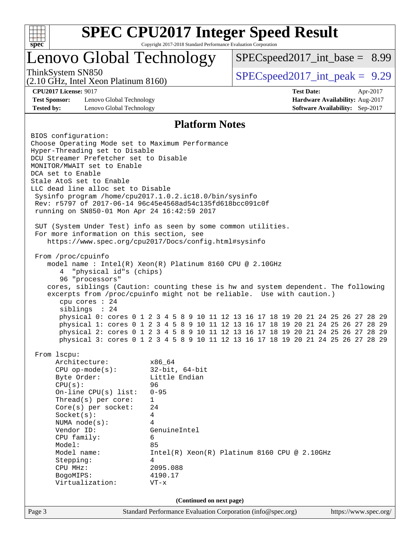

# Lenovo Global Technology

 $SPEC speed2017\_int\_base = 8.99$ 

(2.10 GHz, Intel Xeon Platinum 8160)

ThinkSystem SN850<br>  $SPECspeed2017$  int\_peak = 9.29

**[Test Sponsor:](http://www.spec.org/auto/cpu2017/Docs/result-fields.html#TestSponsor)** Lenovo Global Technology **[Hardware Availability:](http://www.spec.org/auto/cpu2017/Docs/result-fields.html#HardwareAvailability)** Aug-2017 **[Tested by:](http://www.spec.org/auto/cpu2017/Docs/result-fields.html#Testedby)** Lenovo Global Technology **[Software Availability:](http://www.spec.org/auto/cpu2017/Docs/result-fields.html#SoftwareAvailability)** Sep-2017

**[CPU2017 License:](http://www.spec.org/auto/cpu2017/Docs/result-fields.html#CPU2017License)** 9017 **[Test Date:](http://www.spec.org/auto/cpu2017/Docs/result-fields.html#TestDate)** Apr-2017

### **[Platform Notes](http://www.spec.org/auto/cpu2017/Docs/result-fields.html#PlatformNotes)**

Page 3 Standard Performance Evaluation Corporation [\(info@spec.org\)](mailto:info@spec.org) <https://www.spec.org/> BIOS configuration: Choose Operating Mode set to Maximum Performance Hyper-Threading set to Disable DCU Streamer Prefetcher set to Disable MONITOR/MWAIT set to Enable DCA set to Enable Stale AtoS set to Enable LLC dead line alloc set to Disable Sysinfo program /home/cpu2017.1.0.2.ic18.0/bin/sysinfo Rev: r5797 of 2017-06-14 96c45e4568ad54c135fd618bcc091c0f running on SN850-01 Mon Apr 24 16:42:59 2017 SUT (System Under Test) info as seen by some common utilities. For more information on this section, see <https://www.spec.org/cpu2017/Docs/config.html#sysinfo> From /proc/cpuinfo model name : Intel(R) Xeon(R) Platinum 8160 CPU @ 2.10GHz 4 "physical id"s (chips) 96 "processors" cores, siblings (Caution: counting these is hw and system dependent. The following excerpts from /proc/cpuinfo might not be reliable. Use with caution.) cpu cores : 24 siblings : 24 physical 0: cores 0 1 2 3 4 5 8 9 10 11 12 13 16 17 18 19 20 21 24 25 26 27 28 29 physical 1: cores 0 1 2 3 4 5 8 9 10 11 12 13 16 17 18 19 20 21 24 25 26 27 28 29 physical 2: cores 0 1 2 3 4 5 8 9 10 11 12 13 16 17 18 19 20 21 24 25 26 27 28 29 physical 3: cores 0 1 2 3 4 5 8 9 10 11 12 13 16 17 18 19 20 21 24 25 26 27 28 29 From lscpu: Architecture: x86\_64 CPU op-mode(s): 32-bit, 64-bit Byte Order: Little Endian CPU(s): 96 On-line CPU(s) list: 0-95 Thread(s) per core: 1 Core(s) per socket: 24 Socket(s): 4 NUMA node(s): 4 Vendor ID: GenuineIntel CPU family: 6 Model: 85 Model name: Intel(R) Xeon(R) Platinum 8160 CPU @ 2.10GHz Stepping: 4 CPU MHz: 2095.088 BogoMIPS: 4190.17 Virtualization: VT-x **(Continued on next page)**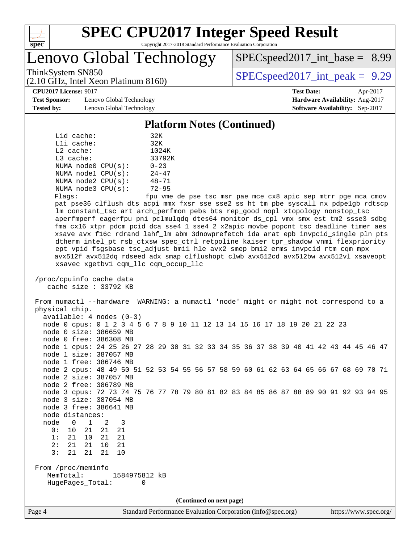

Lenovo Global Technology

 $SPECspeed2017\_int\_base = 8.99$ 

(2.10 GHz, Intel Xeon Platinum 8160)

ThinkSystem SN850<br>  $SPECspeed2017$  int\_peak = 9.29

**[CPU2017 License:](http://www.spec.org/auto/cpu2017/Docs/result-fields.html#CPU2017License)** 9017 **[Test Date:](http://www.spec.org/auto/cpu2017/Docs/result-fields.html#TestDate)** Apr-2017

**[Test Sponsor:](http://www.spec.org/auto/cpu2017/Docs/result-fields.html#TestSponsor)** Lenovo Global Technology **[Hardware Availability:](http://www.spec.org/auto/cpu2017/Docs/result-fields.html#HardwareAvailability)** Aug-2017 **[Tested by:](http://www.spec.org/auto/cpu2017/Docs/result-fields.html#Testedby)** Lenovo Global Technology **[Software Availability:](http://www.spec.org/auto/cpu2017/Docs/result-fields.html#SoftwareAvailability)** Sep-2017

**[Platform Notes \(Continued\)](http://www.spec.org/auto/cpu2017/Docs/result-fields.html#PlatformNotes)**

| $L1d$ cache:            | 32K       |
|-------------------------|-----------|
| Lli cache:              | 32K       |
| $L2$ cache:             | 1024K     |
| $L3$ cache:             | 33792K    |
| NUMA node0 CPU(s):      | $0 - 23$  |
| NUMA nodel CPU(s):      | $24 - 47$ |
| NUMA $node2$ $CPU(s)$ : | $48 - 71$ |
| NUMA $node3$ $CPU(s)$ : | $72 - 95$ |
| ---                     |           |

Flags: fpu vme de pse tsc msr pae mce cx8 apic sep mtrr pge mca cmov pat pse36 clflush dts acpi mmx fxsr sse sse2 ss ht tm pbe syscall nx pdpe1gb rdtscp lm constant\_tsc art arch\_perfmon pebs bts rep\_good nopl xtopology nonstop\_tsc aperfmperf eagerfpu pni pclmulqdq dtes64 monitor ds\_cpl vmx smx est tm2 ssse3 sdbg fma cx16 xtpr pdcm pcid dca sse4\_1 sse4\_2 x2apic movbe popcnt tsc\_deadline\_timer aes xsave avx f16c rdrand lahf\_lm abm 3dnowprefetch ida arat epb invpcid\_single pln pts dtherm intel\_pt rsb\_ctxsw spec\_ctrl retpoline kaiser tpr\_shadow vnmi flexpriority ept vpid fsgsbase tsc\_adjust bmi1 hle avx2 smep bmi2 erms invpcid rtm cqm mpx avx512f avx512dq rdseed adx smap clflushopt clwb avx512cd avx512bw avx512vl xsaveopt xsavec xgetbv1 cqm\_llc cqm\_occup\_llc

 /proc/cpuinfo cache data cache size : 33792 KB

 From numactl --hardware WARNING: a numactl 'node' might or might not correspond to a physical chip. available: 4 nodes (0-3) node 0 cpus: 0 1 2 3 4 5 6 7 8 9 10 11 12 13 14 15 16 17 18 19 20 21 22 23 node 0 size: 386659 MB node 0 free: 386308 MB node 1 cpus: 24 25 26 27 28 29 30 31 32 33 34 35 36 37 38 39 40 41 42 43 44 45 46 47 node 1 size: 387057 MB node 1 free: 386746 MB node 2 cpus: 48 49 50 51 52 53 54 55 56 57 58 59 60 61 62 63 64 65 66 67 68 69 70 71 node 2 size: 387057 MB node 2 free: 386789 MB node 3 cpus: 72 73 74 75 76 77 78 79 80 81 82 83 84 85 86 87 88 89 90 91 92 93 94 95 node 3 size: 387054 MB node 3 free: 386641 MB node distances: node 0 1 2 3 0: 10 21 21 21 1: 21 10 21 21 2: 21 21 10 21 3: 21 21 21 10 From /proc/meminfo MemTotal: 1584975812 kB HugePages\_Total: 0

**(Continued on next page)**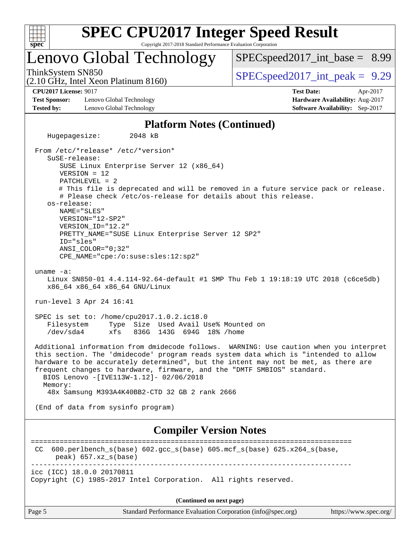| c<br>ť<br>ċ,<br>z |  |  |  |  |  |  |
|-------------------|--|--|--|--|--|--|

# Lenovo Global Technology

 $SPECspeed2017\_int\_base = 8.99$ 

(2.10 GHz, Intel Xeon Platinum 8160)

ThinkSystem SN850<br>  $SPECspeed2017$  int\_peak = 9.29

**[CPU2017 License:](http://www.spec.org/auto/cpu2017/Docs/result-fields.html#CPU2017License)** 9017 **[Test Date:](http://www.spec.org/auto/cpu2017/Docs/result-fields.html#TestDate)** Apr-2017

**[Test Sponsor:](http://www.spec.org/auto/cpu2017/Docs/result-fields.html#TestSponsor)** Lenovo Global Technology **[Hardware Availability:](http://www.spec.org/auto/cpu2017/Docs/result-fields.html#HardwareAvailability)** Aug-2017 **[Tested by:](http://www.spec.org/auto/cpu2017/Docs/result-fields.html#Testedby)** Lenovo Global Technology **[Software Availability:](http://www.spec.org/auto/cpu2017/Docs/result-fields.html#SoftwareAvailability)** Sep-2017

### **[Platform Notes \(Continued\)](http://www.spec.org/auto/cpu2017/Docs/result-fields.html#PlatformNotes)**

 Hugepagesize: 2048 kB From /etc/\*release\* /etc/\*version\* SuSE-release: SUSE Linux Enterprise Server 12 (x86\_64) VERSION = 12 PATCHLEVEL = 2 # This file is deprecated and will be removed in a future service pack or release. # Please check /etc/os-release for details about this release. os-release: NAME="SLES" VERSION="12-SP2" VERSION\_ID="12.2" PRETTY\_NAME="SUSE Linux Enterprise Server 12 SP2" ID="sles" ANSI\_COLOR="0;32" CPE\_NAME="cpe:/o:suse:sles:12:sp2" uname -a: Linux SN850-01 4.4.114-92.64-default #1 SMP Thu Feb 1 19:18:19 UTC 2018 (c6ce5db) x86\_64 x86\_64 x86\_64 GNU/Linux run-level 3 Apr 24 16:41 SPEC is set to: /home/cpu2017.1.0.2.ic18.0 Filesystem Type Size Used Avail Use% Mounted on /dev/sda4 xfs 836G 143G 694G 18% /home Additional information from dmidecode follows. WARNING: Use caution when you interpret this section. The 'dmidecode' program reads system data which is "intended to allow hardware to be accurately determined", but the intent may not be met, as there are frequent changes to hardware, firmware, and the "DMTF SMBIOS" standard. BIOS Lenovo -[IVE113W-1.12]- 02/06/2018 Memory: 48x Samsung M393A4K40BB2-CTD 32 GB 2 rank 2666 (End of data from sysinfo program) **[Compiler Version Notes](http://www.spec.org/auto/cpu2017/Docs/result-fields.html#CompilerVersionNotes)** ============================================================================== CC 600.perlbench\_s(base) 602.gcc\_s(base) 605.mcf\_s(base) 625.x264\_s(base, peak) 657.xz\_s(base) ----------------------------------------------------------------------------- icc (ICC) 18.0.0 20170811

Copyright (C) 1985-2017 Intel Corporation. All rights reserved.

|        | (Continued on next page)                                    |                       |
|--------|-------------------------------------------------------------|-----------------------|
| Page 5 | Standard Performance Evaluation Corporation (info@spec.org) | https://www.spec.org/ |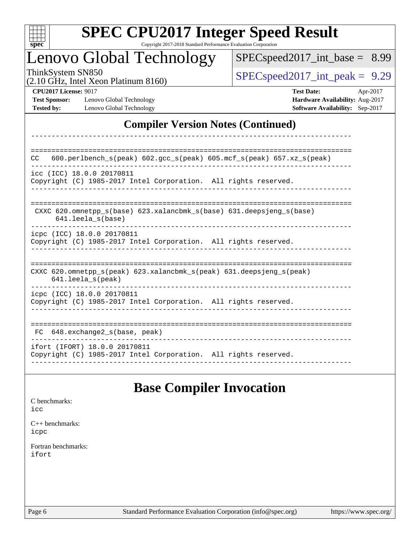| c<br>۳<br>Ņ,<br>H<br>٠ |  |  |  |  |  |
|------------------------|--|--|--|--|--|

------------------------------------------------------------------------------

# Lenovo Global Technology

 $SPECspeed2017\_int\_base = 8.99$ 

(2.10 GHz, Intel Xeon Platinum 8160)

ThinkSystem SN850<br>  $SPECspeed2017$  int\_peak = 9.29

**[Test Sponsor:](http://www.spec.org/auto/cpu2017/Docs/result-fields.html#TestSponsor)** Lenovo Global Technology **[Hardware Availability:](http://www.spec.org/auto/cpu2017/Docs/result-fields.html#HardwareAvailability)** Aug-2017 **[Tested by:](http://www.spec.org/auto/cpu2017/Docs/result-fields.html#Testedby)** Lenovo Global Technology **[Software Availability:](http://www.spec.org/auto/cpu2017/Docs/result-fields.html#SoftwareAvailability)** Sep-2017

**[CPU2017 License:](http://www.spec.org/auto/cpu2017/Docs/result-fields.html#CPU2017License)** 9017 **[Test Date:](http://www.spec.org/auto/cpu2017/Docs/result-fields.html#TestDate)** Apr-2017

## **[Compiler Version Notes \(Continued\)](http://www.spec.org/auto/cpu2017/Docs/result-fields.html#CompilerVersionNotes)**

============================================================================== CC 600.perlbench\_s(peak) 602.gcc\_s(peak) 605.mcf\_s(peak) 657.xz\_s(peak) ----------------------------------------------------------------------------- icc (ICC) 18.0.0 20170811 Copyright (C) 1985-2017 Intel Corporation. All rights reserved. ------------------------------------------------------------------------------ ============================================================================== CXXC 620.omnetpp\_s(base) 623.xalancbmk\_s(base) 631.deepsjeng\_s(base) 641.leela\_s(base) ----------------------------------------------------------------------------- icpc (ICC) 18.0.0 20170811 Copyright (C) 1985-2017 Intel Corporation. All rights reserved. ------------------------------------------------------------------------------ ============================================================================== CXXC 620.omnetpp\_s(peak) 623.xalancbmk\_s(peak) 631.deepsjeng\_s(peak) 641.leela\_s(peak) ----------------------------------------------------------------------------- icpc (ICC) 18.0.0 20170811 Copyright (C) 1985-2017 Intel Corporation. All rights reserved. ------------------------------------------------------------------------------ ============================================================================== FC 648.exchange2\_s(base, peak) ----------------------------------------------------------------------------- ifort (IFORT) 18.0.0 20170811 Copyright (C) 1985-2017 Intel Corporation. All rights reserved. ------------------------------------------------------------------------------

# **[Base Compiler Invocation](http://www.spec.org/auto/cpu2017/Docs/result-fields.html#BaseCompilerInvocation)**

| C benchmarks:        |
|----------------------|
| icc                  |
|                      |
| $C_{++}$ benchmarks: |

[icpc](http://www.spec.org/cpu2017/results/res2018q2/cpu2017-20180511-05412.flags.html#user_CXXbase_intel_icpc_18.0_c510b6838c7f56d33e37e94d029a35b4a7bccf4766a728ee175e80a419847e808290a9b78be685c44ab727ea267ec2f070ec5dc83b407c0218cded6866a35d07)

[Fortran benchmarks](http://www.spec.org/auto/cpu2017/Docs/result-fields.html#Fortranbenchmarks): [ifort](http://www.spec.org/cpu2017/results/res2018q2/cpu2017-20180511-05412.flags.html#user_FCbase_intel_ifort_18.0_8111460550e3ca792625aed983ce982f94888b8b503583aa7ba2b8303487b4d8a21a13e7191a45c5fd58ff318f48f9492884d4413fa793fd88dd292cad7027ca)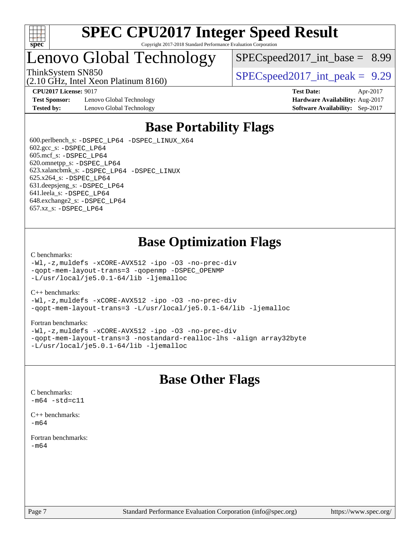

# Lenovo Global Technology

(2.10 GHz, Intel Xeon Platinum 8160)

 $SPECspeed2017\_int\_base = 8.99$ 

ThinkSystem SN850<br>  $SPECspeed2017$  int\_peak = 9.29

**[Test Sponsor:](http://www.spec.org/auto/cpu2017/Docs/result-fields.html#TestSponsor)** Lenovo Global Technology **[Hardware Availability:](http://www.spec.org/auto/cpu2017/Docs/result-fields.html#HardwareAvailability)** Aug-2017 **[Tested by:](http://www.spec.org/auto/cpu2017/Docs/result-fields.html#Testedby)** Lenovo Global Technology **[Software Availability:](http://www.spec.org/auto/cpu2017/Docs/result-fields.html#SoftwareAvailability)** Sep-2017

**[CPU2017 License:](http://www.spec.org/auto/cpu2017/Docs/result-fields.html#CPU2017License)** 9017 **[Test Date:](http://www.spec.org/auto/cpu2017/Docs/result-fields.html#TestDate)** Apr-2017

# **[Base Portability Flags](http://www.spec.org/auto/cpu2017/Docs/result-fields.html#BasePortabilityFlags)**

 600.perlbench\_s: [-DSPEC\\_LP64](http://www.spec.org/cpu2017/results/res2018q2/cpu2017-20180511-05412.flags.html#b600.perlbench_s_basePORTABILITY_DSPEC_LP64) [-DSPEC\\_LINUX\\_X64](http://www.spec.org/cpu2017/results/res2018q2/cpu2017-20180511-05412.flags.html#b600.perlbench_s_baseCPORTABILITY_DSPEC_LINUX_X64) 602.gcc\_s: [-DSPEC\\_LP64](http://www.spec.org/cpu2017/results/res2018q2/cpu2017-20180511-05412.flags.html#suite_basePORTABILITY602_gcc_s_DSPEC_LP64) 605.mcf\_s: [-DSPEC\\_LP64](http://www.spec.org/cpu2017/results/res2018q2/cpu2017-20180511-05412.flags.html#suite_basePORTABILITY605_mcf_s_DSPEC_LP64) 620.omnetpp\_s: [-DSPEC\\_LP64](http://www.spec.org/cpu2017/results/res2018q2/cpu2017-20180511-05412.flags.html#suite_basePORTABILITY620_omnetpp_s_DSPEC_LP64) 623.xalancbmk\_s: [-DSPEC\\_LP64](http://www.spec.org/cpu2017/results/res2018q2/cpu2017-20180511-05412.flags.html#suite_basePORTABILITY623_xalancbmk_s_DSPEC_LP64) [-DSPEC\\_LINUX](http://www.spec.org/cpu2017/results/res2018q2/cpu2017-20180511-05412.flags.html#b623.xalancbmk_s_baseCXXPORTABILITY_DSPEC_LINUX) 625.x264\_s: [-DSPEC\\_LP64](http://www.spec.org/cpu2017/results/res2018q2/cpu2017-20180511-05412.flags.html#suite_basePORTABILITY625_x264_s_DSPEC_LP64) 631.deepsjeng\_s: [-DSPEC\\_LP64](http://www.spec.org/cpu2017/results/res2018q2/cpu2017-20180511-05412.flags.html#suite_basePORTABILITY631_deepsjeng_s_DSPEC_LP64) 641.leela\_s: [-DSPEC\\_LP64](http://www.spec.org/cpu2017/results/res2018q2/cpu2017-20180511-05412.flags.html#suite_basePORTABILITY641_leela_s_DSPEC_LP64) 648.exchange2\_s: [-DSPEC\\_LP64](http://www.spec.org/cpu2017/results/res2018q2/cpu2017-20180511-05412.flags.html#suite_basePORTABILITY648_exchange2_s_DSPEC_LP64) 657.xz\_s: [-DSPEC\\_LP64](http://www.spec.org/cpu2017/results/res2018q2/cpu2017-20180511-05412.flags.html#suite_basePORTABILITY657_xz_s_DSPEC_LP64)

# **[Base Optimization Flags](http://www.spec.org/auto/cpu2017/Docs/result-fields.html#BaseOptimizationFlags)**

### [C benchmarks](http://www.spec.org/auto/cpu2017/Docs/result-fields.html#Cbenchmarks):

[-Wl,-z,muldefs](http://www.spec.org/cpu2017/results/res2018q2/cpu2017-20180511-05412.flags.html#user_CCbase_link_force_multiple1_b4cbdb97b34bdee9ceefcfe54f4c8ea74255f0b02a4b23e853cdb0e18eb4525ac79b5a88067c842dd0ee6996c24547a27a4b99331201badda8798ef8a743f577) [-xCORE-AVX512](http://www.spec.org/cpu2017/results/res2018q2/cpu2017-20180511-05412.flags.html#user_CCbase_f-xCORE-AVX512) [-ipo](http://www.spec.org/cpu2017/results/res2018q2/cpu2017-20180511-05412.flags.html#user_CCbase_f-ipo) [-O3](http://www.spec.org/cpu2017/results/res2018q2/cpu2017-20180511-05412.flags.html#user_CCbase_f-O3) [-no-prec-div](http://www.spec.org/cpu2017/results/res2018q2/cpu2017-20180511-05412.flags.html#user_CCbase_f-no-prec-div) [-qopt-mem-layout-trans=3](http://www.spec.org/cpu2017/results/res2018q2/cpu2017-20180511-05412.flags.html#user_CCbase_f-qopt-mem-layout-trans_de80db37974c74b1f0e20d883f0b675c88c3b01e9d123adea9b28688d64333345fb62bc4a798493513fdb68f60282f9a726aa07f478b2f7113531aecce732043) [-qopenmp](http://www.spec.org/cpu2017/results/res2018q2/cpu2017-20180511-05412.flags.html#user_CCbase_qopenmp_16be0c44f24f464004c6784a7acb94aca937f053568ce72f94b139a11c7c168634a55f6653758ddd83bcf7b8463e8028bb0b48b77bcddc6b78d5d95bb1df2967) [-DSPEC\\_OPENMP](http://www.spec.org/cpu2017/results/res2018q2/cpu2017-20180511-05412.flags.html#suite_CCbase_DSPEC_OPENMP) [-L/usr/local/je5.0.1-64/lib](http://www.spec.org/cpu2017/results/res2018q2/cpu2017-20180511-05412.flags.html#user_CCbase_jemalloc_link_path64_4b10a636b7bce113509b17f3bd0d6226c5fb2346b9178c2d0232c14f04ab830f976640479e5c33dc2bcbbdad86ecfb6634cbbd4418746f06f368b512fced5394) [-ljemalloc](http://www.spec.org/cpu2017/results/res2018q2/cpu2017-20180511-05412.flags.html#user_CCbase_jemalloc_link_lib_d1249b907c500fa1c0672f44f562e3d0f79738ae9e3c4a9c376d49f265a04b9c99b167ecedbf6711b3085be911c67ff61f150a17b3472be731631ba4d0471706)

### [C++ benchmarks:](http://www.spec.org/auto/cpu2017/Docs/result-fields.html#CXXbenchmarks)

[-Wl,-z,muldefs](http://www.spec.org/cpu2017/results/res2018q2/cpu2017-20180511-05412.flags.html#user_CXXbase_link_force_multiple1_b4cbdb97b34bdee9ceefcfe54f4c8ea74255f0b02a4b23e853cdb0e18eb4525ac79b5a88067c842dd0ee6996c24547a27a4b99331201badda8798ef8a743f577) [-xCORE-AVX512](http://www.spec.org/cpu2017/results/res2018q2/cpu2017-20180511-05412.flags.html#user_CXXbase_f-xCORE-AVX512) [-ipo](http://www.spec.org/cpu2017/results/res2018q2/cpu2017-20180511-05412.flags.html#user_CXXbase_f-ipo) [-O3](http://www.spec.org/cpu2017/results/res2018q2/cpu2017-20180511-05412.flags.html#user_CXXbase_f-O3) [-no-prec-div](http://www.spec.org/cpu2017/results/res2018q2/cpu2017-20180511-05412.flags.html#user_CXXbase_f-no-prec-div) [-qopt-mem-layout-trans=3](http://www.spec.org/cpu2017/results/res2018q2/cpu2017-20180511-05412.flags.html#user_CXXbase_f-qopt-mem-layout-trans_de80db37974c74b1f0e20d883f0b675c88c3b01e9d123adea9b28688d64333345fb62bc4a798493513fdb68f60282f9a726aa07f478b2f7113531aecce732043) [-L/usr/local/je5.0.1-64/lib](http://www.spec.org/cpu2017/results/res2018q2/cpu2017-20180511-05412.flags.html#user_CXXbase_jemalloc_link_path64_4b10a636b7bce113509b17f3bd0d6226c5fb2346b9178c2d0232c14f04ab830f976640479e5c33dc2bcbbdad86ecfb6634cbbd4418746f06f368b512fced5394) [-ljemalloc](http://www.spec.org/cpu2017/results/res2018q2/cpu2017-20180511-05412.flags.html#user_CXXbase_jemalloc_link_lib_d1249b907c500fa1c0672f44f562e3d0f79738ae9e3c4a9c376d49f265a04b9c99b167ecedbf6711b3085be911c67ff61f150a17b3472be731631ba4d0471706)

### [Fortran benchmarks](http://www.spec.org/auto/cpu2017/Docs/result-fields.html#Fortranbenchmarks):

[-Wl,-z,muldefs](http://www.spec.org/cpu2017/results/res2018q2/cpu2017-20180511-05412.flags.html#user_FCbase_link_force_multiple1_b4cbdb97b34bdee9ceefcfe54f4c8ea74255f0b02a4b23e853cdb0e18eb4525ac79b5a88067c842dd0ee6996c24547a27a4b99331201badda8798ef8a743f577) [-xCORE-AVX512](http://www.spec.org/cpu2017/results/res2018q2/cpu2017-20180511-05412.flags.html#user_FCbase_f-xCORE-AVX512) [-ipo](http://www.spec.org/cpu2017/results/res2018q2/cpu2017-20180511-05412.flags.html#user_FCbase_f-ipo) [-O3](http://www.spec.org/cpu2017/results/res2018q2/cpu2017-20180511-05412.flags.html#user_FCbase_f-O3) [-no-prec-div](http://www.spec.org/cpu2017/results/res2018q2/cpu2017-20180511-05412.flags.html#user_FCbase_f-no-prec-div) [-qopt-mem-layout-trans=3](http://www.spec.org/cpu2017/results/res2018q2/cpu2017-20180511-05412.flags.html#user_FCbase_f-qopt-mem-layout-trans_de80db37974c74b1f0e20d883f0b675c88c3b01e9d123adea9b28688d64333345fb62bc4a798493513fdb68f60282f9a726aa07f478b2f7113531aecce732043) [-nostandard-realloc-lhs](http://www.spec.org/cpu2017/results/res2018q2/cpu2017-20180511-05412.flags.html#user_FCbase_f_2003_std_realloc_82b4557e90729c0f113870c07e44d33d6f5a304b4f63d4c15d2d0f1fab99f5daaed73bdb9275d9ae411527f28b936061aa8b9c8f2d63842963b95c9dd6426b8a) [-align array32byte](http://www.spec.org/cpu2017/results/res2018q2/cpu2017-20180511-05412.flags.html#user_FCbase_align_array32byte_b982fe038af199962ba9a80c053b8342c548c85b40b8e86eb3cc33dee0d7986a4af373ac2d51c3f7cf710a18d62fdce2948f201cd044323541f22fc0fffc51b6) [-L/usr/local/je5.0.1-64/lib](http://www.spec.org/cpu2017/results/res2018q2/cpu2017-20180511-05412.flags.html#user_FCbase_jemalloc_link_path64_4b10a636b7bce113509b17f3bd0d6226c5fb2346b9178c2d0232c14f04ab830f976640479e5c33dc2bcbbdad86ecfb6634cbbd4418746f06f368b512fced5394) [-ljemalloc](http://www.spec.org/cpu2017/results/res2018q2/cpu2017-20180511-05412.flags.html#user_FCbase_jemalloc_link_lib_d1249b907c500fa1c0672f44f562e3d0f79738ae9e3c4a9c376d49f265a04b9c99b167ecedbf6711b3085be911c67ff61f150a17b3472be731631ba4d0471706)

# **[Base Other Flags](http://www.spec.org/auto/cpu2017/Docs/result-fields.html#BaseOtherFlags)**

[C benchmarks](http://www.spec.org/auto/cpu2017/Docs/result-fields.html#Cbenchmarks):  $-m64 - std= c11$  $-m64 - std= c11$ [C++ benchmarks:](http://www.spec.org/auto/cpu2017/Docs/result-fields.html#CXXbenchmarks)

[-m64](http://www.spec.org/cpu2017/results/res2018q2/cpu2017-20180511-05412.flags.html#user_CXXbase_intel_intel64_18.0_af43caccfc8ded86e7699f2159af6efc7655f51387b94da716254467f3c01020a5059329e2569e4053f409e7c9202a7efc638f7a6d1ffb3f52dea4a3e31d82ab)

[Fortran benchmarks](http://www.spec.org/auto/cpu2017/Docs/result-fields.html#Fortranbenchmarks): [-m64](http://www.spec.org/cpu2017/results/res2018q2/cpu2017-20180511-05412.flags.html#user_FCbase_intel_intel64_18.0_af43caccfc8ded86e7699f2159af6efc7655f51387b94da716254467f3c01020a5059329e2569e4053f409e7c9202a7efc638f7a6d1ffb3f52dea4a3e31d82ab)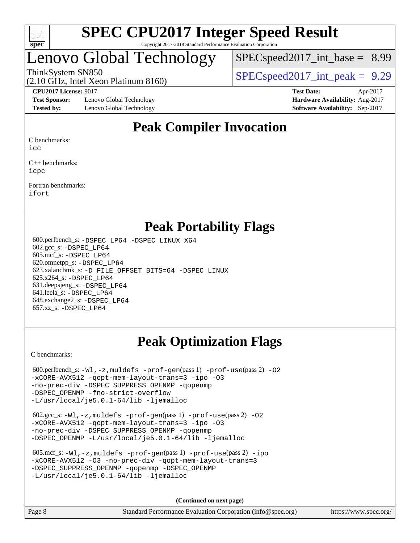

# enovo Global Technology

 $SPECspeed2017\_int\_base = 8.99$ 

(2.10 GHz, Intel Xeon Platinum 8160)

ThinkSystem SN850<br>  $SPECspeed2017$  int\_peak = 9.29

**[Test Sponsor:](http://www.spec.org/auto/cpu2017/Docs/result-fields.html#TestSponsor)** Lenovo Global Technology **[Hardware Availability:](http://www.spec.org/auto/cpu2017/Docs/result-fields.html#HardwareAvailability)** Aug-2017 **[Tested by:](http://www.spec.org/auto/cpu2017/Docs/result-fields.html#Testedby)** Lenovo Global Technology **[Software Availability:](http://www.spec.org/auto/cpu2017/Docs/result-fields.html#SoftwareAvailability)** Sep-2017

**[CPU2017 License:](http://www.spec.org/auto/cpu2017/Docs/result-fields.html#CPU2017License)** 9017 **[Test Date:](http://www.spec.org/auto/cpu2017/Docs/result-fields.html#TestDate)** Apr-2017

# **[Peak Compiler Invocation](http://www.spec.org/auto/cpu2017/Docs/result-fields.html#PeakCompilerInvocation)**

[C benchmarks](http://www.spec.org/auto/cpu2017/Docs/result-fields.html#Cbenchmarks):

[icc](http://www.spec.org/cpu2017/results/res2018q2/cpu2017-20180511-05412.flags.html#user_CCpeak_intel_icc_18.0_66fc1ee009f7361af1fbd72ca7dcefbb700085f36577c54f309893dd4ec40d12360134090235512931783d35fd58c0460139e722d5067c5574d8eaf2b3e37e92)

[C++ benchmarks:](http://www.spec.org/auto/cpu2017/Docs/result-fields.html#CXXbenchmarks) [icpc](http://www.spec.org/cpu2017/results/res2018q2/cpu2017-20180511-05412.flags.html#user_CXXpeak_intel_icpc_18.0_c510b6838c7f56d33e37e94d029a35b4a7bccf4766a728ee175e80a419847e808290a9b78be685c44ab727ea267ec2f070ec5dc83b407c0218cded6866a35d07)

[Fortran benchmarks](http://www.spec.org/auto/cpu2017/Docs/result-fields.html#Fortranbenchmarks): [ifort](http://www.spec.org/cpu2017/results/res2018q2/cpu2017-20180511-05412.flags.html#user_FCpeak_intel_ifort_18.0_8111460550e3ca792625aed983ce982f94888b8b503583aa7ba2b8303487b4d8a21a13e7191a45c5fd58ff318f48f9492884d4413fa793fd88dd292cad7027ca)

## **[Peak Portability Flags](http://www.spec.org/auto/cpu2017/Docs/result-fields.html#PeakPortabilityFlags)**

 600.perlbench\_s: [-DSPEC\\_LP64](http://www.spec.org/cpu2017/results/res2018q2/cpu2017-20180511-05412.flags.html#b600.perlbench_s_peakPORTABILITY_DSPEC_LP64) [-DSPEC\\_LINUX\\_X64](http://www.spec.org/cpu2017/results/res2018q2/cpu2017-20180511-05412.flags.html#b600.perlbench_s_peakCPORTABILITY_DSPEC_LINUX_X64) 602.gcc\_s: [-DSPEC\\_LP64](http://www.spec.org/cpu2017/results/res2018q2/cpu2017-20180511-05412.flags.html#suite_peakPORTABILITY602_gcc_s_DSPEC_LP64) 605.mcf\_s: [-DSPEC\\_LP64](http://www.spec.org/cpu2017/results/res2018q2/cpu2017-20180511-05412.flags.html#suite_peakPORTABILITY605_mcf_s_DSPEC_LP64) 620.omnetpp\_s: [-DSPEC\\_LP64](http://www.spec.org/cpu2017/results/res2018q2/cpu2017-20180511-05412.flags.html#suite_peakPORTABILITY620_omnetpp_s_DSPEC_LP64) 623.xalancbmk\_s: [-D\\_FILE\\_OFFSET\\_BITS=64](http://www.spec.org/cpu2017/results/res2018q2/cpu2017-20180511-05412.flags.html#user_peakPORTABILITY623_xalancbmk_s_file_offset_bits_64_5ae949a99b284ddf4e95728d47cb0843d81b2eb0e18bdfe74bbf0f61d0b064f4bda2f10ea5eb90e1dcab0e84dbc592acfc5018bc955c18609f94ddb8d550002c) [-DSPEC\\_LINUX](http://www.spec.org/cpu2017/results/res2018q2/cpu2017-20180511-05412.flags.html#b623.xalancbmk_s_peakCXXPORTABILITY_DSPEC_LINUX) 625.x264\_s: [-DSPEC\\_LP64](http://www.spec.org/cpu2017/results/res2018q2/cpu2017-20180511-05412.flags.html#suite_peakPORTABILITY625_x264_s_DSPEC_LP64) 631.deepsjeng\_s: [-DSPEC\\_LP64](http://www.spec.org/cpu2017/results/res2018q2/cpu2017-20180511-05412.flags.html#suite_peakPORTABILITY631_deepsjeng_s_DSPEC_LP64) 641.leela\_s: [-DSPEC\\_LP64](http://www.spec.org/cpu2017/results/res2018q2/cpu2017-20180511-05412.flags.html#suite_peakPORTABILITY641_leela_s_DSPEC_LP64) 648.exchange2\_s: [-DSPEC\\_LP64](http://www.spec.org/cpu2017/results/res2018q2/cpu2017-20180511-05412.flags.html#suite_peakPORTABILITY648_exchange2_s_DSPEC_LP64) 657.xz\_s: [-DSPEC\\_LP64](http://www.spec.org/cpu2017/results/res2018q2/cpu2017-20180511-05412.flags.html#suite_peakPORTABILITY657_xz_s_DSPEC_LP64)

# **[Peak Optimization Flags](http://www.spec.org/auto/cpu2017/Docs/result-fields.html#PeakOptimizationFlags)**

[C benchmarks](http://www.spec.org/auto/cpu2017/Docs/result-fields.html#Cbenchmarks):

600.perlbench\_s:  $-W1$ , -z, muldefs [-prof-gen](http://www.spec.org/cpu2017/results/res2018q2/cpu2017-20180511-05412.flags.html#user_peakPASS1_CFLAGSPASS1_LDFLAGS600_perlbench_s_prof_gen_5aa4926d6013ddb2a31985c654b3eb18169fc0c6952a63635c234f711e6e63dd76e94ad52365559451ec499a2cdb89e4dc58ba4c67ef54ca681ffbe1461d6b36)(pass 1) [-prof-use](http://www.spec.org/cpu2017/results/res2018q2/cpu2017-20180511-05412.flags.html#user_peakPASS2_CFLAGSPASS2_LDFLAGS600_perlbench_s_prof_use_1a21ceae95f36a2b53c25747139a6c16ca95bd9def2a207b4f0849963b97e94f5260e30a0c64f4bb623698870e679ca08317ef8150905d41bd88c6f78df73f19)(pass 2) -02 [-xCORE-AVX512](http://www.spec.org/cpu2017/results/res2018q2/cpu2017-20180511-05412.flags.html#user_peakPASS2_COPTIMIZE600_perlbench_s_f-xCORE-AVX512) [-qopt-mem-layout-trans=3](http://www.spec.org/cpu2017/results/res2018q2/cpu2017-20180511-05412.flags.html#user_peakPASS1_COPTIMIZEPASS2_COPTIMIZE600_perlbench_s_f-qopt-mem-layout-trans_de80db37974c74b1f0e20d883f0b675c88c3b01e9d123adea9b28688d64333345fb62bc4a798493513fdb68f60282f9a726aa07f478b2f7113531aecce732043) [-ipo](http://www.spec.org/cpu2017/results/res2018q2/cpu2017-20180511-05412.flags.html#user_peakPASS2_COPTIMIZE600_perlbench_s_f-ipo) [-O3](http://www.spec.org/cpu2017/results/res2018q2/cpu2017-20180511-05412.flags.html#user_peakPASS2_COPTIMIZE600_perlbench_s_f-O3) [-no-prec-div](http://www.spec.org/cpu2017/results/res2018q2/cpu2017-20180511-05412.flags.html#user_peakPASS2_COPTIMIZE600_perlbench_s_f-no-prec-div) [-DSPEC\\_SUPPRESS\\_OPENMP](http://www.spec.org/cpu2017/results/res2018q2/cpu2017-20180511-05412.flags.html#suite_peakPASS1_COPTIMIZE600_perlbench_s_DSPEC_SUPPRESS_OPENMP) [-qopenmp](http://www.spec.org/cpu2017/results/res2018q2/cpu2017-20180511-05412.flags.html#user_peakPASS2_COPTIMIZE600_perlbench_s_qopenmp_16be0c44f24f464004c6784a7acb94aca937f053568ce72f94b139a11c7c168634a55f6653758ddd83bcf7b8463e8028bb0b48b77bcddc6b78d5d95bb1df2967) [-DSPEC\\_OPENMP](http://www.spec.org/cpu2017/results/res2018q2/cpu2017-20180511-05412.flags.html#suite_peakPASS2_COPTIMIZE600_perlbench_s_DSPEC_OPENMP) [-fno-strict-overflow](http://www.spec.org/cpu2017/results/res2018q2/cpu2017-20180511-05412.flags.html#user_peakEXTRA_OPTIMIZE600_perlbench_s_f-fno-strict-overflow) [-L/usr/local/je5.0.1-64/lib](http://www.spec.org/cpu2017/results/res2018q2/cpu2017-20180511-05412.flags.html#user_peakEXTRA_LIBS600_perlbench_s_jemalloc_link_path64_4b10a636b7bce113509b17f3bd0d6226c5fb2346b9178c2d0232c14f04ab830f976640479e5c33dc2bcbbdad86ecfb6634cbbd4418746f06f368b512fced5394) [-ljemalloc](http://www.spec.org/cpu2017/results/res2018q2/cpu2017-20180511-05412.flags.html#user_peakEXTRA_LIBS600_perlbench_s_jemalloc_link_lib_d1249b907c500fa1c0672f44f562e3d0f79738ae9e3c4a9c376d49f265a04b9c99b167ecedbf6711b3085be911c67ff61f150a17b3472be731631ba4d0471706)

 602.gcc\_s: [-Wl,-z,muldefs](http://www.spec.org/cpu2017/results/res2018q2/cpu2017-20180511-05412.flags.html#user_peakEXTRA_LDFLAGS602_gcc_s_link_force_multiple1_b4cbdb97b34bdee9ceefcfe54f4c8ea74255f0b02a4b23e853cdb0e18eb4525ac79b5a88067c842dd0ee6996c24547a27a4b99331201badda8798ef8a743f577) [-prof-gen](http://www.spec.org/cpu2017/results/res2018q2/cpu2017-20180511-05412.flags.html#user_peakPASS1_CFLAGSPASS1_LDFLAGS602_gcc_s_prof_gen_5aa4926d6013ddb2a31985c654b3eb18169fc0c6952a63635c234f711e6e63dd76e94ad52365559451ec499a2cdb89e4dc58ba4c67ef54ca681ffbe1461d6b36)(pass 1) [-prof-use](http://www.spec.org/cpu2017/results/res2018q2/cpu2017-20180511-05412.flags.html#user_peakPASS2_CFLAGSPASS2_LDFLAGS602_gcc_s_prof_use_1a21ceae95f36a2b53c25747139a6c16ca95bd9def2a207b4f0849963b97e94f5260e30a0c64f4bb623698870e679ca08317ef8150905d41bd88c6f78df73f19)(pass 2) [-O2](http://www.spec.org/cpu2017/results/res2018q2/cpu2017-20180511-05412.flags.html#user_peakPASS1_COPTIMIZE602_gcc_s_f-O2) [-xCORE-AVX512](http://www.spec.org/cpu2017/results/res2018q2/cpu2017-20180511-05412.flags.html#user_peakPASS2_COPTIMIZE602_gcc_s_f-xCORE-AVX512) [-qopt-mem-layout-trans=3](http://www.spec.org/cpu2017/results/res2018q2/cpu2017-20180511-05412.flags.html#user_peakPASS1_COPTIMIZEPASS2_COPTIMIZE602_gcc_s_f-qopt-mem-layout-trans_de80db37974c74b1f0e20d883f0b675c88c3b01e9d123adea9b28688d64333345fb62bc4a798493513fdb68f60282f9a726aa07f478b2f7113531aecce732043) [-ipo](http://www.spec.org/cpu2017/results/res2018q2/cpu2017-20180511-05412.flags.html#user_peakPASS2_COPTIMIZE602_gcc_s_f-ipo) [-O3](http://www.spec.org/cpu2017/results/res2018q2/cpu2017-20180511-05412.flags.html#user_peakPASS2_COPTIMIZE602_gcc_s_f-O3) [-no-prec-div](http://www.spec.org/cpu2017/results/res2018q2/cpu2017-20180511-05412.flags.html#user_peakPASS2_COPTIMIZE602_gcc_s_f-no-prec-div) [-DSPEC\\_SUPPRESS\\_OPENMP](http://www.spec.org/cpu2017/results/res2018q2/cpu2017-20180511-05412.flags.html#suite_peakPASS1_COPTIMIZE602_gcc_s_DSPEC_SUPPRESS_OPENMP) [-qopenmp](http://www.spec.org/cpu2017/results/res2018q2/cpu2017-20180511-05412.flags.html#user_peakPASS2_COPTIMIZE602_gcc_s_qopenmp_16be0c44f24f464004c6784a7acb94aca937f053568ce72f94b139a11c7c168634a55f6653758ddd83bcf7b8463e8028bb0b48b77bcddc6b78d5d95bb1df2967) [-DSPEC\\_OPENMP](http://www.spec.org/cpu2017/results/res2018q2/cpu2017-20180511-05412.flags.html#suite_peakPASS2_COPTIMIZE602_gcc_s_DSPEC_OPENMP) [-L/usr/local/je5.0.1-64/lib](http://www.spec.org/cpu2017/results/res2018q2/cpu2017-20180511-05412.flags.html#user_peakEXTRA_LIBS602_gcc_s_jemalloc_link_path64_4b10a636b7bce113509b17f3bd0d6226c5fb2346b9178c2d0232c14f04ab830f976640479e5c33dc2bcbbdad86ecfb6634cbbd4418746f06f368b512fced5394) [-ljemalloc](http://www.spec.org/cpu2017/results/res2018q2/cpu2017-20180511-05412.flags.html#user_peakEXTRA_LIBS602_gcc_s_jemalloc_link_lib_d1249b907c500fa1c0672f44f562e3d0f79738ae9e3c4a9c376d49f265a04b9c99b167ecedbf6711b3085be911c67ff61f150a17b3472be731631ba4d0471706)

| 605.mcf s: $-Wl$ , $-z$ , muldefs $-prof-qen(pass 1)$ $-prof-use(pass 2) -ipo$ |
|--------------------------------------------------------------------------------|
| -xCORE-AVX512 -03 -no-prec-div -gopt-mem-layout-trans=3                        |
| -DSPEC SUPPRESS OPENMP - gopenmp - DSPEC OPENMP                                |
| $-L/usr/local/ie5.0.1-64/lib -liemalloc$                                       |

**(Continued on next page)**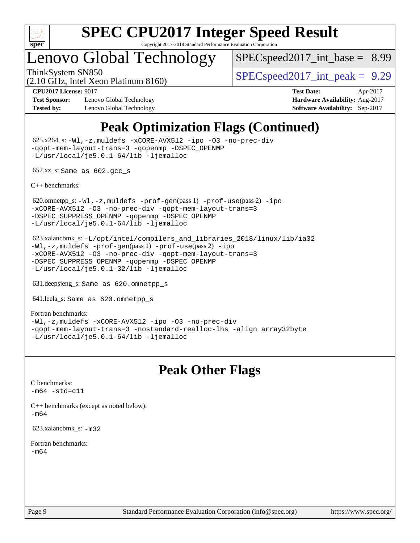

# Lenovo Global Technology

(2.10 GHz, Intel Xeon Platinum 8160)

 $SPEC speed2017\_int\_base = 8.99$ 

ThinkSystem SN850<br>  $SPECspeed2017$  int\_peak = 9.29

**[Test Sponsor:](http://www.spec.org/auto/cpu2017/Docs/result-fields.html#TestSponsor)** Lenovo Global Technology **[Hardware Availability:](http://www.spec.org/auto/cpu2017/Docs/result-fields.html#HardwareAvailability)** Aug-2017 **[Tested by:](http://www.spec.org/auto/cpu2017/Docs/result-fields.html#Testedby)** Lenovo Global Technology **[Software Availability:](http://www.spec.org/auto/cpu2017/Docs/result-fields.html#SoftwareAvailability)** Sep-2017

**[CPU2017 License:](http://www.spec.org/auto/cpu2017/Docs/result-fields.html#CPU2017License)** 9017 **[Test Date:](http://www.spec.org/auto/cpu2017/Docs/result-fields.html#TestDate)** Apr-2017

# **[Peak Optimization Flags \(Continued\)](http://www.spec.org/auto/cpu2017/Docs/result-fields.html#PeakOptimizationFlags)**

 625.x264\_s: [-Wl,-z,muldefs](http://www.spec.org/cpu2017/results/res2018q2/cpu2017-20180511-05412.flags.html#user_peakEXTRA_LDFLAGS625_x264_s_link_force_multiple1_b4cbdb97b34bdee9ceefcfe54f4c8ea74255f0b02a4b23e853cdb0e18eb4525ac79b5a88067c842dd0ee6996c24547a27a4b99331201badda8798ef8a743f577) [-xCORE-AVX512](http://www.spec.org/cpu2017/results/res2018q2/cpu2017-20180511-05412.flags.html#user_peakCOPTIMIZE625_x264_s_f-xCORE-AVX512) [-ipo](http://www.spec.org/cpu2017/results/res2018q2/cpu2017-20180511-05412.flags.html#user_peakCOPTIMIZE625_x264_s_f-ipo) [-O3](http://www.spec.org/cpu2017/results/res2018q2/cpu2017-20180511-05412.flags.html#user_peakCOPTIMIZE625_x264_s_f-O3) [-no-prec-div](http://www.spec.org/cpu2017/results/res2018q2/cpu2017-20180511-05412.flags.html#user_peakCOPTIMIZE625_x264_s_f-no-prec-div) [-qopt-mem-layout-trans=3](http://www.spec.org/cpu2017/results/res2018q2/cpu2017-20180511-05412.flags.html#user_peakCOPTIMIZE625_x264_s_f-qopt-mem-layout-trans_de80db37974c74b1f0e20d883f0b675c88c3b01e9d123adea9b28688d64333345fb62bc4a798493513fdb68f60282f9a726aa07f478b2f7113531aecce732043) [-qopenmp](http://www.spec.org/cpu2017/results/res2018q2/cpu2017-20180511-05412.flags.html#user_peakCOPTIMIZE625_x264_s_qopenmp_16be0c44f24f464004c6784a7acb94aca937f053568ce72f94b139a11c7c168634a55f6653758ddd83bcf7b8463e8028bb0b48b77bcddc6b78d5d95bb1df2967) [-DSPEC\\_OPENMP](http://www.spec.org/cpu2017/results/res2018q2/cpu2017-20180511-05412.flags.html#suite_peakCOPTIMIZE625_x264_s_DSPEC_OPENMP) [-L/usr/local/je5.0.1-64/lib](http://www.spec.org/cpu2017/results/res2018q2/cpu2017-20180511-05412.flags.html#user_peakEXTRA_LIBS625_x264_s_jemalloc_link_path64_4b10a636b7bce113509b17f3bd0d6226c5fb2346b9178c2d0232c14f04ab830f976640479e5c33dc2bcbbdad86ecfb6634cbbd4418746f06f368b512fced5394) [-ljemalloc](http://www.spec.org/cpu2017/results/res2018q2/cpu2017-20180511-05412.flags.html#user_peakEXTRA_LIBS625_x264_s_jemalloc_link_lib_d1249b907c500fa1c0672f44f562e3d0f79738ae9e3c4a9c376d49f265a04b9c99b167ecedbf6711b3085be911c67ff61f150a17b3472be731631ba4d0471706)

657.xz\_s: Same as 602.gcc\_s

[C++ benchmarks:](http://www.spec.org/auto/cpu2017/Docs/result-fields.html#CXXbenchmarks)

620.omnetpp\_s: $-W1$ ,-z,muldefs -prof-qen(pass 1) [-prof-use](http://www.spec.org/cpu2017/results/res2018q2/cpu2017-20180511-05412.flags.html#user_peakPASS2_CXXFLAGSPASS2_LDFLAGS620_omnetpp_s_prof_use_1a21ceae95f36a2b53c25747139a6c16ca95bd9def2a207b4f0849963b97e94f5260e30a0c64f4bb623698870e679ca08317ef8150905d41bd88c6f78df73f19)(pass 2) [-ipo](http://www.spec.org/cpu2017/results/res2018q2/cpu2017-20180511-05412.flags.html#user_peakPASS1_CXXOPTIMIZEPASS2_CXXOPTIMIZE620_omnetpp_s_f-ipo) [-xCORE-AVX512](http://www.spec.org/cpu2017/results/res2018q2/cpu2017-20180511-05412.flags.html#user_peakPASS2_CXXOPTIMIZE620_omnetpp_s_f-xCORE-AVX512) [-O3](http://www.spec.org/cpu2017/results/res2018q2/cpu2017-20180511-05412.flags.html#user_peakPASS1_CXXOPTIMIZEPASS2_CXXOPTIMIZE620_omnetpp_s_f-O3) [-no-prec-div](http://www.spec.org/cpu2017/results/res2018q2/cpu2017-20180511-05412.flags.html#user_peakPASS1_CXXOPTIMIZEPASS2_CXXOPTIMIZE620_omnetpp_s_f-no-prec-div) [-qopt-mem-layout-trans=3](http://www.spec.org/cpu2017/results/res2018q2/cpu2017-20180511-05412.flags.html#user_peakPASS1_CXXOPTIMIZEPASS2_CXXOPTIMIZE620_omnetpp_s_f-qopt-mem-layout-trans_de80db37974c74b1f0e20d883f0b675c88c3b01e9d123adea9b28688d64333345fb62bc4a798493513fdb68f60282f9a726aa07f478b2f7113531aecce732043) [-DSPEC\\_SUPPRESS\\_OPENMP](http://www.spec.org/cpu2017/results/res2018q2/cpu2017-20180511-05412.flags.html#suite_peakPASS1_CXXOPTIMIZE620_omnetpp_s_DSPEC_SUPPRESS_OPENMP) [-qopenmp](http://www.spec.org/cpu2017/results/res2018q2/cpu2017-20180511-05412.flags.html#user_peakPASS2_CXXOPTIMIZE620_omnetpp_s_qopenmp_16be0c44f24f464004c6784a7acb94aca937f053568ce72f94b139a11c7c168634a55f6653758ddd83bcf7b8463e8028bb0b48b77bcddc6b78d5d95bb1df2967) [-DSPEC\\_OPENMP](http://www.spec.org/cpu2017/results/res2018q2/cpu2017-20180511-05412.flags.html#suite_peakPASS2_CXXOPTIMIZE620_omnetpp_s_DSPEC_OPENMP) [-L/usr/local/je5.0.1-64/lib](http://www.spec.org/cpu2017/results/res2018q2/cpu2017-20180511-05412.flags.html#user_peakEXTRA_LIBS620_omnetpp_s_jemalloc_link_path64_4b10a636b7bce113509b17f3bd0d6226c5fb2346b9178c2d0232c14f04ab830f976640479e5c33dc2bcbbdad86ecfb6634cbbd4418746f06f368b512fced5394) [-ljemalloc](http://www.spec.org/cpu2017/results/res2018q2/cpu2017-20180511-05412.flags.html#user_peakEXTRA_LIBS620_omnetpp_s_jemalloc_link_lib_d1249b907c500fa1c0672f44f562e3d0f79738ae9e3c4a9c376d49f265a04b9c99b167ecedbf6711b3085be911c67ff61f150a17b3472be731631ba4d0471706)

 623.xalancbmk\_s: [-L/opt/intel/compilers\\_and\\_libraries\\_2018/linux/lib/ia32](http://www.spec.org/cpu2017/results/res2018q2/cpu2017-20180511-05412.flags.html#user_peakCXXLD623_xalancbmk_s_Enable-32bit-runtime_af243bdb1d79e4c7a4f720bf8275e627de2ecd461de63307bc14cef0633fde3cd7bb2facb32dcc8be9566045fb55d40ce2b72b725f73827aa7833441b71b9343) [-Wl,-z,muldefs](http://www.spec.org/cpu2017/results/res2018q2/cpu2017-20180511-05412.flags.html#user_peakEXTRA_LDFLAGS623_xalancbmk_s_link_force_multiple1_b4cbdb97b34bdee9ceefcfe54f4c8ea74255f0b02a4b23e853cdb0e18eb4525ac79b5a88067c842dd0ee6996c24547a27a4b99331201badda8798ef8a743f577) [-prof-gen](http://www.spec.org/cpu2017/results/res2018q2/cpu2017-20180511-05412.flags.html#user_peakPASS1_CXXFLAGSPASS1_LDFLAGS623_xalancbmk_s_prof_gen_5aa4926d6013ddb2a31985c654b3eb18169fc0c6952a63635c234f711e6e63dd76e94ad52365559451ec499a2cdb89e4dc58ba4c67ef54ca681ffbe1461d6b36)(pass 1) [-prof-use](http://www.spec.org/cpu2017/results/res2018q2/cpu2017-20180511-05412.flags.html#user_peakPASS2_CXXFLAGSPASS2_LDFLAGS623_xalancbmk_s_prof_use_1a21ceae95f36a2b53c25747139a6c16ca95bd9def2a207b4f0849963b97e94f5260e30a0c64f4bb623698870e679ca08317ef8150905d41bd88c6f78df73f19)(pass 2) [-ipo](http://www.spec.org/cpu2017/results/res2018q2/cpu2017-20180511-05412.flags.html#user_peakPASS1_CXXOPTIMIZEPASS2_CXXOPTIMIZE623_xalancbmk_s_f-ipo) [-xCORE-AVX512](http://www.spec.org/cpu2017/results/res2018q2/cpu2017-20180511-05412.flags.html#user_peakPASS2_CXXOPTIMIZE623_xalancbmk_s_f-xCORE-AVX512) [-O3](http://www.spec.org/cpu2017/results/res2018q2/cpu2017-20180511-05412.flags.html#user_peakPASS1_CXXOPTIMIZEPASS2_CXXOPTIMIZE623_xalancbmk_s_f-O3) [-no-prec-div](http://www.spec.org/cpu2017/results/res2018q2/cpu2017-20180511-05412.flags.html#user_peakPASS1_CXXOPTIMIZEPASS2_CXXOPTIMIZE623_xalancbmk_s_f-no-prec-div) [-qopt-mem-layout-trans=3](http://www.spec.org/cpu2017/results/res2018q2/cpu2017-20180511-05412.flags.html#user_peakPASS1_CXXOPTIMIZEPASS2_CXXOPTIMIZE623_xalancbmk_s_f-qopt-mem-layout-trans_de80db37974c74b1f0e20d883f0b675c88c3b01e9d123adea9b28688d64333345fb62bc4a798493513fdb68f60282f9a726aa07f478b2f7113531aecce732043) [-DSPEC\\_SUPPRESS\\_OPENMP](http://www.spec.org/cpu2017/results/res2018q2/cpu2017-20180511-05412.flags.html#suite_peakPASS1_CXXOPTIMIZE623_xalancbmk_s_DSPEC_SUPPRESS_OPENMP) [-qopenmp](http://www.spec.org/cpu2017/results/res2018q2/cpu2017-20180511-05412.flags.html#user_peakPASS2_CXXOPTIMIZE623_xalancbmk_s_qopenmp_16be0c44f24f464004c6784a7acb94aca937f053568ce72f94b139a11c7c168634a55f6653758ddd83bcf7b8463e8028bb0b48b77bcddc6b78d5d95bb1df2967) [-DSPEC\\_OPENMP](http://www.spec.org/cpu2017/results/res2018q2/cpu2017-20180511-05412.flags.html#suite_peakPASS2_CXXOPTIMIZE623_xalancbmk_s_DSPEC_OPENMP) [-L/usr/local/je5.0.1-32/lib](http://www.spec.org/cpu2017/results/res2018q2/cpu2017-20180511-05412.flags.html#user_peakEXTRA_LIBS623_xalancbmk_s_jemalloc_link_path32_e29f22e8e6c17053bbc6a0971f5a9c01a601a06bb1a59df2084b77a2fe0a2995b64fd4256feaeea39eeba3aae142e96e2b2b0a28974019c0c0c88139a84f900a) [-ljemalloc](http://www.spec.org/cpu2017/results/res2018q2/cpu2017-20180511-05412.flags.html#user_peakEXTRA_LIBS623_xalancbmk_s_jemalloc_link_lib_d1249b907c500fa1c0672f44f562e3d0f79738ae9e3c4a9c376d49f265a04b9c99b167ecedbf6711b3085be911c67ff61f150a17b3472be731631ba4d0471706)

631.deepsjeng\_s: Same as 620.omnetpp\_s

641.leela\_s: Same as 620.omnetpp\_s

[Fortran benchmarks](http://www.spec.org/auto/cpu2017/Docs/result-fields.html#Fortranbenchmarks): [-Wl,-z,muldefs](http://www.spec.org/cpu2017/results/res2018q2/cpu2017-20180511-05412.flags.html#user_FCpeak_link_force_multiple1_b4cbdb97b34bdee9ceefcfe54f4c8ea74255f0b02a4b23e853cdb0e18eb4525ac79b5a88067c842dd0ee6996c24547a27a4b99331201badda8798ef8a743f577) [-xCORE-AVX512](http://www.spec.org/cpu2017/results/res2018q2/cpu2017-20180511-05412.flags.html#user_FCpeak_f-xCORE-AVX512) [-ipo](http://www.spec.org/cpu2017/results/res2018q2/cpu2017-20180511-05412.flags.html#user_FCpeak_f-ipo) [-O3](http://www.spec.org/cpu2017/results/res2018q2/cpu2017-20180511-05412.flags.html#user_FCpeak_f-O3) [-no-prec-div](http://www.spec.org/cpu2017/results/res2018q2/cpu2017-20180511-05412.flags.html#user_FCpeak_f-no-prec-div) [-qopt-mem-layout-trans=3](http://www.spec.org/cpu2017/results/res2018q2/cpu2017-20180511-05412.flags.html#user_FCpeak_f-qopt-mem-layout-trans_de80db37974c74b1f0e20d883f0b675c88c3b01e9d123adea9b28688d64333345fb62bc4a798493513fdb68f60282f9a726aa07f478b2f7113531aecce732043) [-nostandard-realloc-lhs](http://www.spec.org/cpu2017/results/res2018q2/cpu2017-20180511-05412.flags.html#user_FCpeak_f_2003_std_realloc_82b4557e90729c0f113870c07e44d33d6f5a304b4f63d4c15d2d0f1fab99f5daaed73bdb9275d9ae411527f28b936061aa8b9c8f2d63842963b95c9dd6426b8a) [-align array32byte](http://www.spec.org/cpu2017/results/res2018q2/cpu2017-20180511-05412.flags.html#user_FCpeak_align_array32byte_b982fe038af199962ba9a80c053b8342c548c85b40b8e86eb3cc33dee0d7986a4af373ac2d51c3f7cf710a18d62fdce2948f201cd044323541f22fc0fffc51b6) [-L/usr/local/je5.0.1-64/lib](http://www.spec.org/cpu2017/results/res2018q2/cpu2017-20180511-05412.flags.html#user_FCpeak_jemalloc_link_path64_4b10a636b7bce113509b17f3bd0d6226c5fb2346b9178c2d0232c14f04ab830f976640479e5c33dc2bcbbdad86ecfb6634cbbd4418746f06f368b512fced5394) [-ljemalloc](http://www.spec.org/cpu2017/results/res2018q2/cpu2017-20180511-05412.flags.html#user_FCpeak_jemalloc_link_lib_d1249b907c500fa1c0672f44f562e3d0f79738ae9e3c4a9c376d49f265a04b9c99b167ecedbf6711b3085be911c67ff61f150a17b3472be731631ba4d0471706)

# **[Peak Other Flags](http://www.spec.org/auto/cpu2017/Docs/result-fields.html#PeakOtherFlags)**

[C benchmarks](http://www.spec.org/auto/cpu2017/Docs/result-fields.html#Cbenchmarks):  $-m64 - std= c11$  $-m64 - std= c11$ 

[C++ benchmarks \(except as noted below\):](http://www.spec.org/auto/cpu2017/Docs/result-fields.html#CXXbenchmarksexceptasnotedbelow) [-m64](http://www.spec.org/cpu2017/results/res2018q2/cpu2017-20180511-05412.flags.html#user_CXXpeak_intel_intel64_18.0_af43caccfc8ded86e7699f2159af6efc7655f51387b94da716254467f3c01020a5059329e2569e4053f409e7c9202a7efc638f7a6d1ffb3f52dea4a3e31d82ab)

623.xalancbmk\_s: [-m32](http://www.spec.org/cpu2017/results/res2018q2/cpu2017-20180511-05412.flags.html#user_peakCXXLD623_xalancbmk_s_intel_ia32_18.0_2666f1173eb60787016b673bfe1358e27016ef7649ea4884b7bc6187fd89dc221d14632e22638cde1c647a518de97358ab15d4ad098ee4e19a8b28d0c25e14bf)

[Fortran benchmarks](http://www.spec.org/auto/cpu2017/Docs/result-fields.html#Fortranbenchmarks): [-m64](http://www.spec.org/cpu2017/results/res2018q2/cpu2017-20180511-05412.flags.html#user_FCpeak_intel_intel64_18.0_af43caccfc8ded86e7699f2159af6efc7655f51387b94da716254467f3c01020a5059329e2569e4053f409e7c9202a7efc638f7a6d1ffb3f52dea4a3e31d82ab)